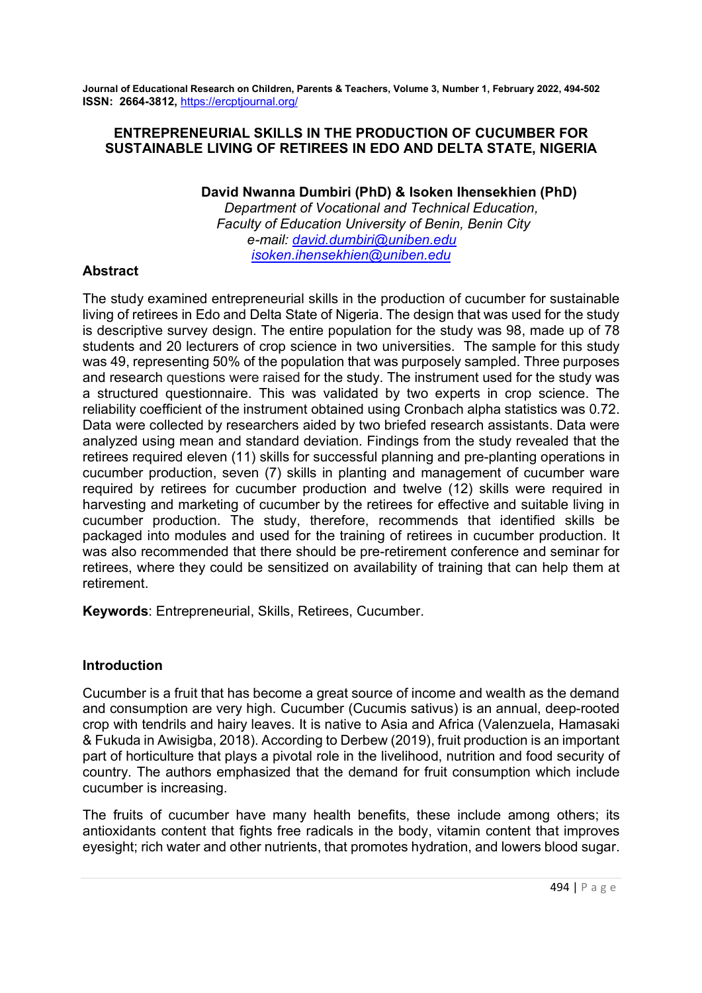# ENTREPRENEURIAL SKILLS IN THE PRODUCTION OF CUCUMBER FOR SUSTAINABLE LIVING OF RETIREES IN EDO AND DELTA STATE, NIGERIA

David Nwanna Dumbiri (PhD) & Isoken Ihensekhien (PhD)

 Department of Vocational and Technical Education, Faculty of Education University of Benin, Benin City e-mail: david.dumbiri@uniben.edu isoken.ihensekhien@uniben.edu

# Abstract

The study examined entrepreneurial skills in the production of cucumber for sustainable living of retirees in Edo and Delta State of Nigeria. The design that was used for the study is descriptive survey design. The entire population for the study was 98, made up of 78 students and 20 lecturers of crop science in two universities. The sample for this study was 49, representing 50% of the population that was purposely sampled. Three purposes and research questions were raised for the study. The instrument used for the study was a structured questionnaire. This was validated by two experts in crop science. The reliability coefficient of the instrument obtained using Cronbach alpha statistics was 0.72. Data were collected by researchers aided by two briefed research assistants. Data were analyzed using mean and standard deviation. Findings from the study revealed that the retirees required eleven (11) skills for successful planning and pre-planting operations in cucumber production, seven (7) skills in planting and management of cucumber ware required by retirees for cucumber production and twelve (12) skills were required in harvesting and marketing of cucumber by the retirees for effective and suitable living in cucumber production. The study, therefore, recommends that identified skills be packaged into modules and used for the training of retirees in cucumber production. It was also recommended that there should be pre-retirement conference and seminar for retirees, where they could be sensitized on availability of training that can help them at retirement.

Keywords: Entrepreneurial, Skills, Retirees, Cucumber.

# Introduction

Cucumber is a fruit that has become a great source of income and wealth as the demand and consumption are very high. Cucumber (Cucumis sativus) is an annual, deep-rooted crop with tendrils and hairy leaves. It is native to Asia and Africa (Valenzuela, Hamasaki & Fukuda in Awisigba, 2018). According to Derbew (2019), fruit production is an important part of horticulture that plays a pivotal role in the livelihood, nutrition and food security of country. The authors emphasized that the demand for fruit consumption which include cucumber is increasing.

The fruits of cucumber have many health benefits, these include among others; its antioxidants content that fights free radicals in the body, vitamin content that improves eyesight; rich water and other nutrients, that promotes hydration, and lowers blood sugar.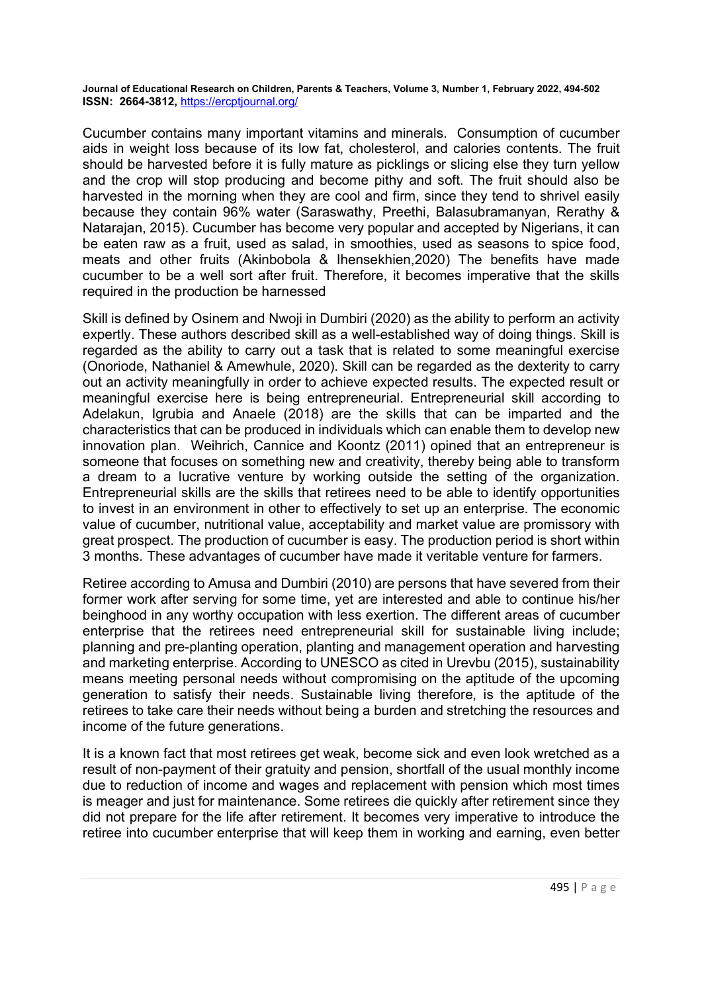Cucumber contains many important vitamins and minerals. Consumption of cucumber aids in weight loss because of its low fat, cholesterol, and calories contents. The fruit should be harvested before it is fully mature as picklings or slicing else they turn yellow and the crop will stop producing and become pithy and soft. The fruit should also be harvested in the morning when they are cool and firm, since they tend to shrivel easily because they contain 96% water (Saraswathy, Preethi, Balasubramanyan, Rerathy & Natarajan, 2015). Cucumber has become very popular and accepted by Nigerians, it can be eaten raw as a fruit, used as salad, in smoothies, used as seasons to spice food, meats and other fruits (Akinbobola & Ihensekhien,2020) The benefits have made cucumber to be a well sort after fruit. Therefore, it becomes imperative that the skills required in the production be harnessed

Skill is defined by Osinem and Nwoji in Dumbiri (2020) as the ability to perform an activity expertly. These authors described skill as a well-established way of doing things. Skill is regarded as the ability to carry out a task that is related to some meaningful exercise (Onoriode, Nathaniel & Amewhule, 2020). Skill can be regarded as the dexterity to carry out an activity meaningfully in order to achieve expected results. The expected result or meaningful exercise here is being entrepreneurial. Entrepreneurial skill according to Adelakun, Igrubia and Anaele (2018) are the skills that can be imparted and the characteristics that can be produced in individuals which can enable them to develop new innovation plan. Weihrich, Cannice and Koontz (2011) opined that an entrepreneur is someone that focuses on something new and creativity, thereby being able to transform a dream to a lucrative venture by working outside the setting of the organization. Entrepreneurial skills are the skills that retirees need to be able to identify opportunities to invest in an environment in other to effectively to set up an enterprise. The economic value of cucumber, nutritional value, acceptability and market value are promissory with great prospect. The production of cucumber is easy. The production period is short within 3 months. These advantages of cucumber have made it veritable venture for farmers.

Retiree according to Amusa and Dumbiri (2010) are persons that have severed from their former work after serving for some time, yet are interested and able to continue his/her beinghood in any worthy occupation with less exertion. The different areas of cucumber enterprise that the retirees need entrepreneurial skill for sustainable living include; planning and pre-planting operation, planting and management operation and harvesting and marketing enterprise. According to UNESCO as cited in Urevbu (2015), sustainability means meeting personal needs without compromising on the aptitude of the upcoming generation to satisfy their needs. Sustainable living therefore, is the aptitude of the retirees to take care their needs without being a burden and stretching the resources and income of the future generations.

It is a known fact that most retirees get weak, become sick and even look wretched as a result of non-payment of their gratuity and pension, shortfall of the usual monthly income due to reduction of income and wages and replacement with pension which most times is meager and just for maintenance. Some retirees die quickly after retirement since they did not prepare for the life after retirement. It becomes very imperative to introduce the retiree into cucumber enterprise that will keep them in working and earning, even better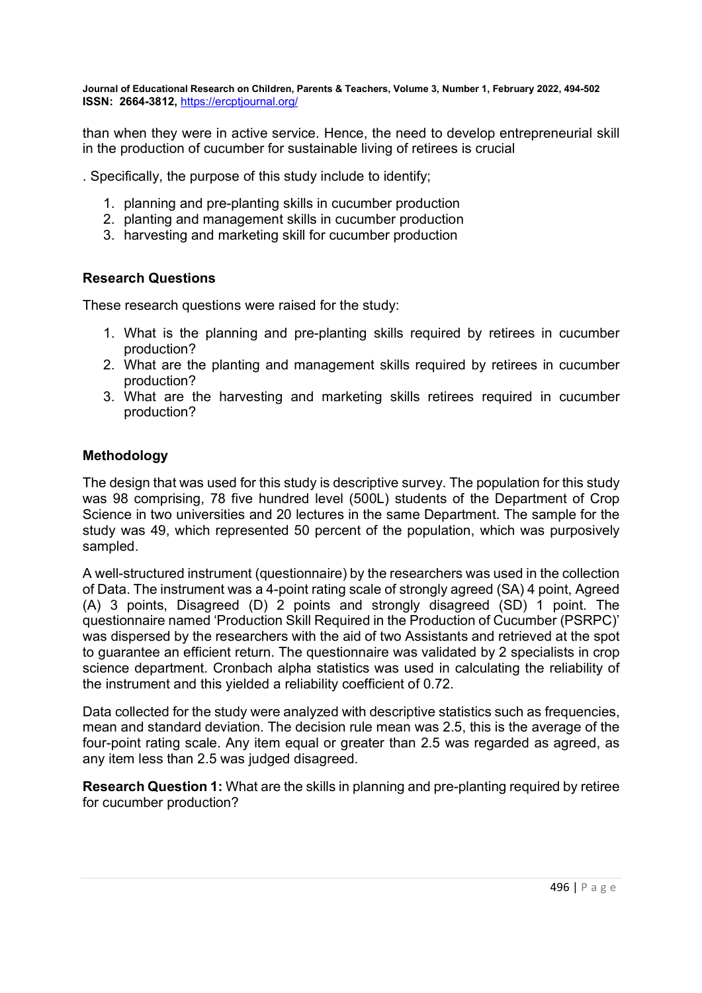than when they were in active service. Hence, the need to develop entrepreneurial skill in the production of cucumber for sustainable living of retirees is crucial

. Specifically, the purpose of this study include to identify;

- 1. planning and pre-planting skills in cucumber production
- 2. planting and management skills in cucumber production
- 3. harvesting and marketing skill for cucumber production

# Research Questions

These research questions were raised for the study:

- 1. What is the planning and pre-planting skills required by retirees in cucumber production?
- 2. What are the planting and management skills required by retirees in cucumber production?
- 3. What are the harvesting and marketing skills retirees required in cucumber production?

# Methodology

The design that was used for this study is descriptive survey. The population for this study was 98 comprising, 78 five hundred level (500L) students of the Department of Crop Science in two universities and 20 lectures in the same Department. The sample for the study was 49, which represented 50 percent of the population, which was purposively sampled.

A well-structured instrument (questionnaire) by the researchers was used in the collection of Data. The instrument was a 4-point rating scale of strongly agreed (SA) 4 point, Agreed (A) 3 points, Disagreed (D) 2 points and strongly disagreed (SD) 1 point. The questionnaire named 'Production Skill Required in the Production of Cucumber (PSRPC)' was dispersed by the researchers with the aid of two Assistants and retrieved at the spot to guarantee an efficient return. The questionnaire was validated by 2 specialists in crop science department. Cronbach alpha statistics was used in calculating the reliability of the instrument and this yielded a reliability coefficient of 0.72.

Data collected for the study were analyzed with descriptive statistics such as frequencies, mean and standard deviation. The decision rule mean was 2.5, this is the average of the four-point rating scale. Any item equal or greater than 2.5 was regarded as agreed, as any item less than 2.5 was judged disagreed.

Research Question 1: What are the skills in planning and pre-planting required by retiree for cucumber production?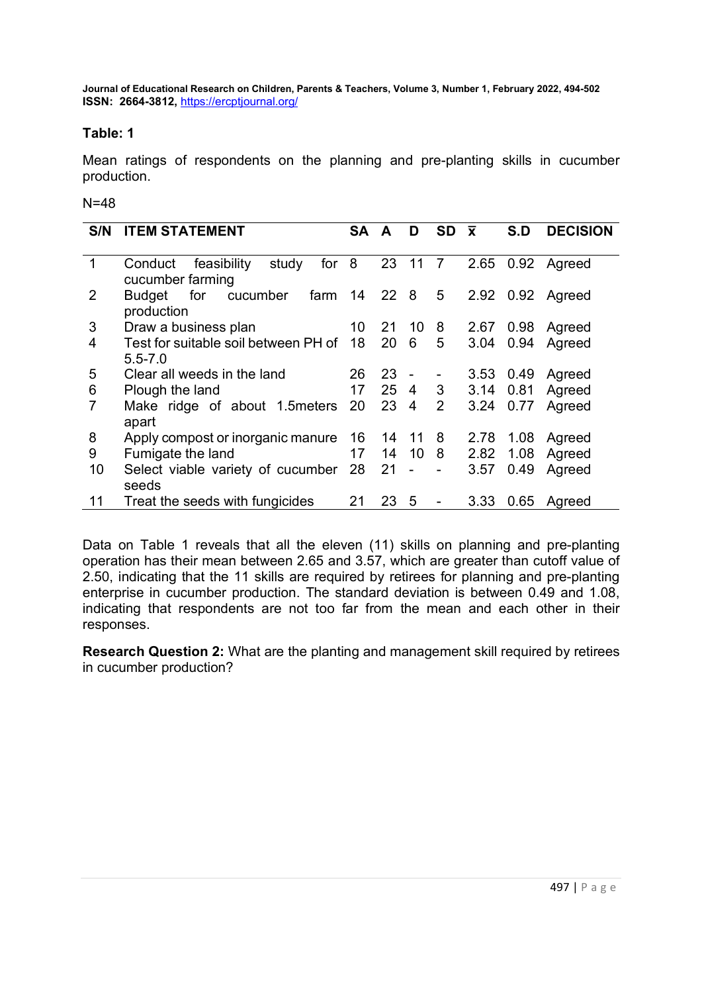## Table: 1

Mean ratings of respondents on the planning and pre-planting skills in cucumber production.

### N=48

| S/N         | <b>ITEM STATEMENT</b>                      | <b>SA</b> | A     | D                        | <b>SD</b>                | $\overline{\mathbf{x}}$ | S.D  | <b>DECISION</b>  |
|-------------|--------------------------------------------|-----------|-------|--------------------------|--------------------------|-------------------------|------|------------------|
|             |                                            |           |       |                          |                          |                         |      |                  |
| $\mathbf 1$ | for $8$<br>study<br>feasibility<br>Conduct |           | 23 11 |                          | $\overline{7}$           |                         |      | 2.65 0.92 Agreed |
|             | cucumber farming                           |           |       |                          |                          |                         |      |                  |
| 2           | farm 14 22 8<br>for<br>cucumber<br>Budget  |           |       |                          | 5 <sub>5</sub>           |                         |      | 2.92 0.92 Agreed |
|             | production                                 |           |       |                          |                          |                         |      |                  |
| 3           | Draw a business plan<br>$\sim$ 10          |           | 21    | 10                       | 8                        | 2.67 0.98               |      | Agreed           |
| 4           | Test for suitable soil between PH of 18    |           | 20    | 6                        | 5                        |                         |      | 3.04 0.94 Agreed |
|             | $5.5 - 7.0$                                |           |       |                          |                          |                         |      |                  |
| 5           | Clear all weeds in the land                | 26        | 23    | $\overline{\phantom{a}}$ | $\overline{\phantom{0}}$ | 3.53 0.49               |      | Agreed           |
| 6           | Plough the land                            | 17        |       | 25 4 3                   |                          | 3.14 0.81               |      | Agreed           |
| 7           | Make ridge of about 1.5 meters             | 20        | 23    | $\overline{4}$           | $2^{\circ}$              | 3.24 0.77               |      | Agreed           |
|             | apart                                      |           |       |                          |                          |                         |      |                  |
| 8           | Apply compost or inorganic manure 16       |           | 14 11 |                          | 8                        | 2.78                    | 1.08 | Agreed           |
| 9           | Fumigate the land                          | 17        | 14    | 10 <sub>8</sub>          |                          | 2.82                    | 1.08 | Agreed           |
| 10          | Select viable variety of cucumber 28       |           | 21    | $\Box$                   | $\overline{a}$           | 3.57                    | 0.49 | Agreed           |
|             | seeds                                      |           |       |                          |                          |                         |      |                  |
| 11          | Treat the seeds with fungicides            | 21        | 23    | 5                        | $\blacksquare$           | 3.33                    | 0.65 | Agreed           |

Data on Table 1 reveals that all the eleven (11) skills on planning and pre-planting operation has their mean between 2.65 and 3.57, which are greater than cutoff value of 2.50, indicating that the 11 skills are required by retirees for planning and pre-planting enterprise in cucumber production. The standard deviation is between 0.49 and 1.08, indicating that respondents are not too far from the mean and each other in their responses.

Research Question 2: What are the planting and management skill required by retirees in cucumber production?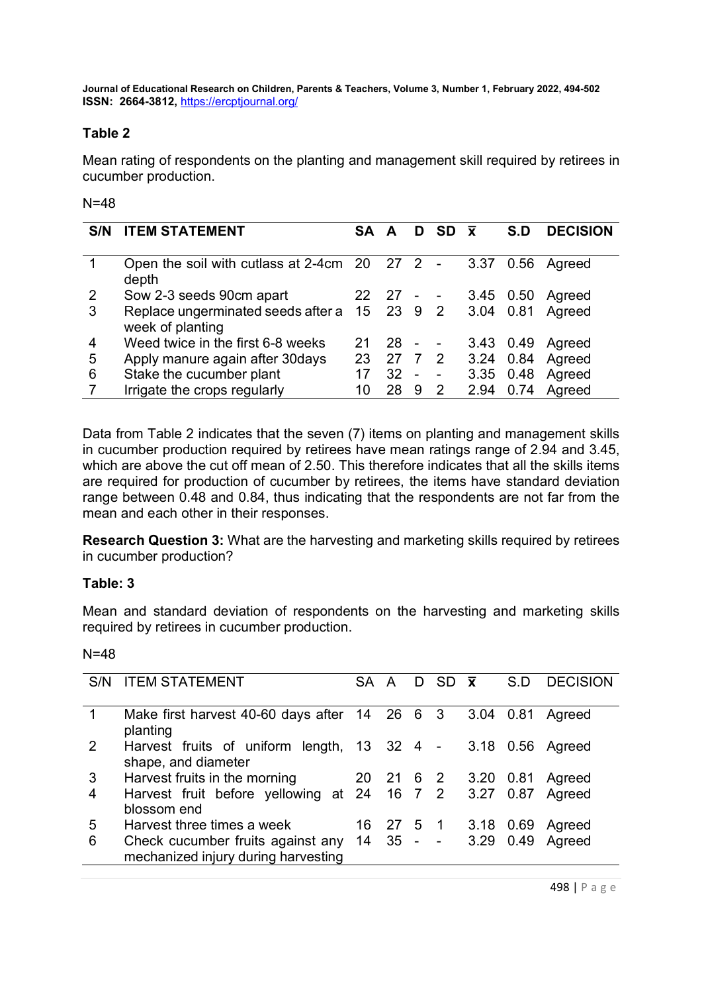# Table 2

Mean rating of respondents on the planting and management skill required by retirees in cucumber production.

### N=48

| S/N | <b>ITEM STATEMENT</b>                                                      | <b>SA</b> | A               |                | $D$ SD $\bar{x}$         |           | S.D       | <b>DECISION</b> |
|-----|----------------------------------------------------------------------------|-----------|-----------------|----------------|--------------------------|-----------|-----------|-----------------|
|     | Open the soil with cutlass at 2-4cm 20 27 2<br>depth                       |           |                 |                | $\overline{\phantom{a}}$ | 3.37      | 0.56      | Agreed          |
| 2   | Sow 2-3 seeds 90cm apart                                                   |           | $22 \t27 -$     |                |                          | 3.45 0.50 |           | Agreed          |
| 3   | Replace ungerminated seeds after a 15 23 9 2 3.04 0.81<br>week of planting |           |                 |                |                          |           |           | Agreed          |
| 4   | Weed twice in the first 6-8 weeks                                          | 21        | 28              | $\blacksquare$ | $\sim$                   |           | 3.43 0.49 | Agreed          |
| 5   | Apply manure again after 30 days                                           | 23        | 27 7 2          |                |                          | 3.24 0.84 |           | Agreed          |
| 6   | Stake the cucumber plant                                                   |           | 32 <sup>2</sup> | $\sim$         | $\blacksquare$           | 3.35 0.48 |           | Agreed          |
|     | Irrigate the crops regularly                                               | 10        | 28              | 9              | 2                        | 2.94      | 0.74      | Agreed          |

Data from Table 2 indicates that the seven (7) items on planting and management skills in cucumber production required by retirees have mean ratings range of 2.94 and 3.45, which are above the cut off mean of 2.50. This therefore indicates that all the skills items are required for production of cucumber by retirees, the items have standard deviation range between 0.48 and 0.84, thus indicating that the respondents are not far from the mean and each other in their responses.

Research Question 3: What are the harvesting and marketing skills required by retirees in cucumber production?

#### Table: 3

Mean and standard deviation of respondents on the harvesting and marketing skills required by retirees in cucumber production.

|   | S/N ITEM STATEMENT                                                                  | SA A |  | $D$ SD $\bar{x}$    | S.D  | <b>DECISION</b> |
|---|-------------------------------------------------------------------------------------|------|--|---------------------|------|-----------------|
| 1 | Make first harvest 40-60 days after 14 26 6 3<br>planting                           |      |  | 3.04 0.81           |      | Agreed          |
| 2 | Harvest fruits of uniform length, 13 32 4 - 3.18 0.56 Agreed<br>shape, and diameter |      |  |                     |      |                 |
| 3 | Harvest fruits in the morning                                                       |      |  | 20 21 6 2 3.20 0.81 |      | Agreed          |
| 4 | Harvest fruit before yellowing at 24 16 7 2 3.27 0.87<br>blossom end                |      |  |                     |      | Agreed          |
| 5 | Harvest three times a week                                                          |      |  | 16 27 5 1 3.18 0.69 |      | Agreed          |
| 6 | Check cucumber fruits against any 14<br>mechanized injury during harvesting         |      |  | $35 - - 3.29$       | 0.49 | Agreed          |
|   |                                                                                     |      |  |                     |      |                 |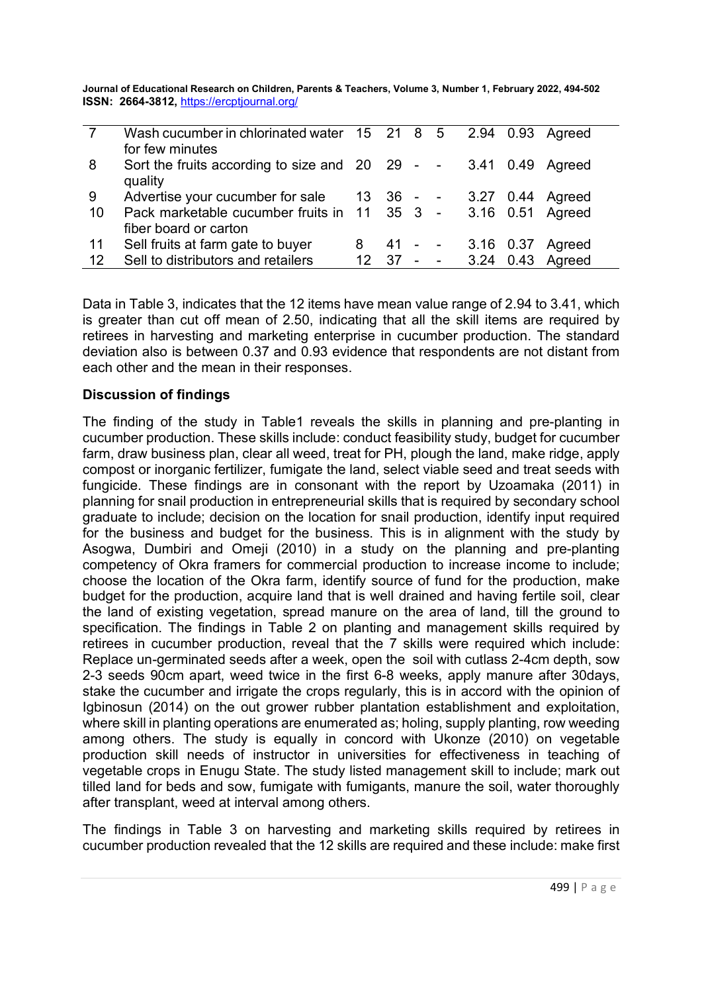|    | Wash cucumber in chlorinated water 15 21 8 5                     |    |      |        |            |      |      | 2.94 0.93 Agreed           |
|----|------------------------------------------------------------------|----|------|--------|------------|------|------|----------------------------|
|    | for few minutes                                                  |    |      |        |            |      |      |                            |
| 8  | Sort the fruits according to size and 20 29 - - 3.41 0.49 Agreed |    |      |        |            |      |      |                            |
|    | quality                                                          |    |      |        |            |      |      |                            |
| 9  | Advertise your cucumber for sale                                 |    |      |        |            |      |      | 13 36 - - 3.27 0.44 Agreed |
| 10 | Pack marketable cucumber fruits in 11 35 3 - 3.16 0.51 Agreed    |    |      |        |            |      |      |                            |
|    | fiber board or carton                                            |    |      |        |            |      |      |                            |
| 11 | Sell fruits at farm gate to buyer                                | 8  |      |        | $41 - -$   |      |      | 3.16 0.37 Agreed           |
| 12 | Sell to distributors and retailers                               | 12 | - 37 | $\sim$ | $\sim$ $-$ | 3.24 | 0.43 | Agreed                     |

Data in Table 3, indicates that the 12 items have mean value range of 2.94 to 3.41, which is greater than cut off mean of 2.50, indicating that all the skill items are required by retirees in harvesting and marketing enterprise in cucumber production. The standard deviation also is between 0.37 and 0.93 evidence that respondents are not distant from each other and the mean in their responses.

### Discussion of findings

The finding of the study in Table1 reveals the skills in planning and pre-planting in cucumber production. These skills include: conduct feasibility study, budget for cucumber farm, draw business plan, clear all weed, treat for PH, plough the land, make ridge, apply compost or inorganic fertilizer, fumigate the land, select viable seed and treat seeds with fungicide. These findings are in consonant with the report by Uzoamaka (2011) in planning for snail production in entrepreneurial skills that is required by secondary school graduate to include; decision on the location for snail production, identify input required for the business and budget for the business. This is in alignment with the study by Asogwa, Dumbiri and Omeji (2010) in a study on the planning and pre-planting competency of Okra framers for commercial production to increase income to include; choose the location of the Okra farm, identify source of fund for the production, make budget for the production, acquire land that is well drained and having fertile soil, clear the land of existing vegetation, spread manure on the area of land, till the ground to specification. The findings in Table 2 on planting and management skills required by retirees in cucumber production, reveal that the 7 skills were required which include: Replace un-germinated seeds after a week, open the soil with cutlass 2-4cm depth, sow 2-3 seeds 90cm apart, weed twice in the first 6-8 weeks, apply manure after 30days, stake the cucumber and irrigate the crops regularly, this is in accord with the opinion of Igbinosun (2014) on the out grower rubber plantation establishment and exploitation, where skill in planting operations are enumerated as; holing, supply planting, row weeding among others. The study is equally in concord with Ukonze (2010) on vegetable production skill needs of instructor in universities for effectiveness in teaching of vegetable crops in Enugu State. The study listed management skill to include; mark out tilled land for beds and sow, fumigate with fumigants, manure the soil, water thoroughly after transplant, weed at interval among others.

The findings in Table 3 on harvesting and marketing skills required by retirees in cucumber production revealed that the 12 skills are required and these include: make first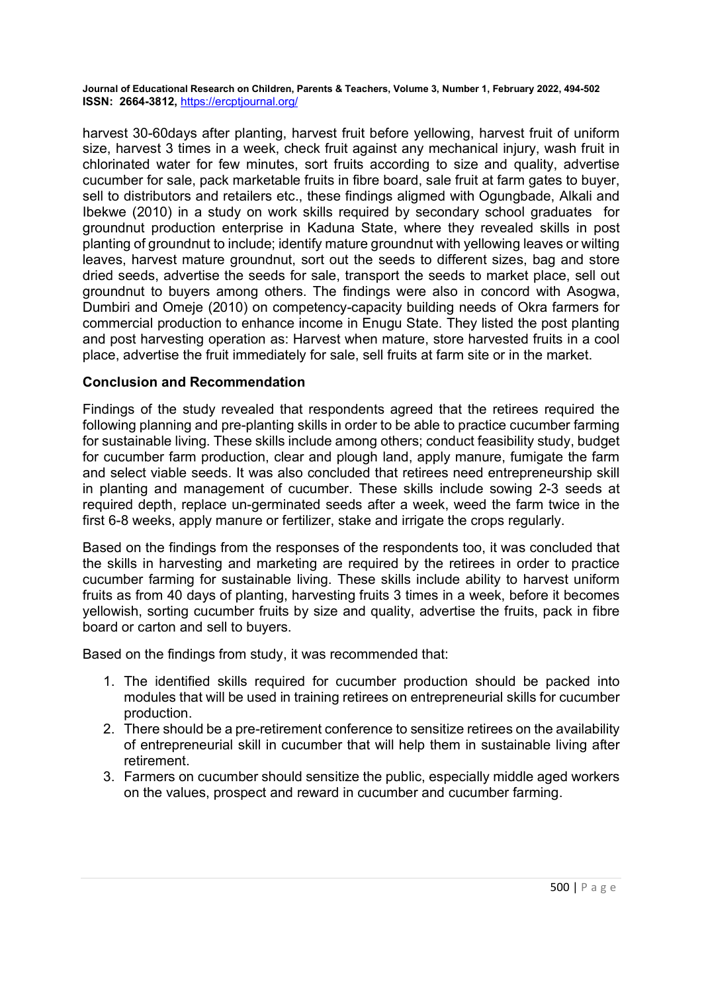harvest 30-60days after planting, harvest fruit before yellowing, harvest fruit of uniform size, harvest 3 times in a week, check fruit against any mechanical injury, wash fruit in chlorinated water for few minutes, sort fruits according to size and quality, advertise cucumber for sale, pack marketable fruits in fibre board, sale fruit at farm gates to buyer, sell to distributors and retailers etc., these findings aligmed with Ogungbade, Alkali and Ibekwe (2010) in a study on work skills required by secondary school graduates for groundnut production enterprise in Kaduna State, where they revealed skills in post planting of groundnut to include; identify mature groundnut with yellowing leaves or wilting leaves, harvest mature groundnut, sort out the seeds to different sizes, bag and store dried seeds, advertise the seeds for sale, transport the seeds to market place, sell out groundnut to buyers among others. The findings were also in concord with Asogwa, Dumbiri and Omeje (2010) on competency-capacity building needs of Okra farmers for commercial production to enhance income in Enugu State. They listed the post planting and post harvesting operation as: Harvest when mature, store harvested fruits in a cool place, advertise the fruit immediately for sale, sell fruits at farm site or in the market.

### Conclusion and Recommendation

Findings of the study revealed that respondents agreed that the retirees required the following planning and pre-planting skills in order to be able to practice cucumber farming for sustainable living. These skills include among others; conduct feasibility study, budget for cucumber farm production, clear and plough land, apply manure, fumigate the farm and select viable seeds. It was also concluded that retirees need entrepreneurship skill in planting and management of cucumber. These skills include sowing 2-3 seeds at required depth, replace un-germinated seeds after a week, weed the farm twice in the first 6-8 weeks, apply manure or fertilizer, stake and irrigate the crops regularly.

Based on the findings from the responses of the respondents too, it was concluded that the skills in harvesting and marketing are required by the retirees in order to practice cucumber farming for sustainable living. These skills include ability to harvest uniform fruits as from 40 days of planting, harvesting fruits 3 times in a week, before it becomes yellowish, sorting cucumber fruits by size and quality, advertise the fruits, pack in fibre board or carton and sell to buyers.

Based on the findings from study, it was recommended that:

- 1. The identified skills required for cucumber production should be packed into modules that will be used in training retirees on entrepreneurial skills for cucumber production.
- 2. There should be a pre-retirement conference to sensitize retirees on the availability of entrepreneurial skill in cucumber that will help them in sustainable living after retirement.
- 3. Farmers on cucumber should sensitize the public, especially middle aged workers on the values, prospect and reward in cucumber and cucumber farming.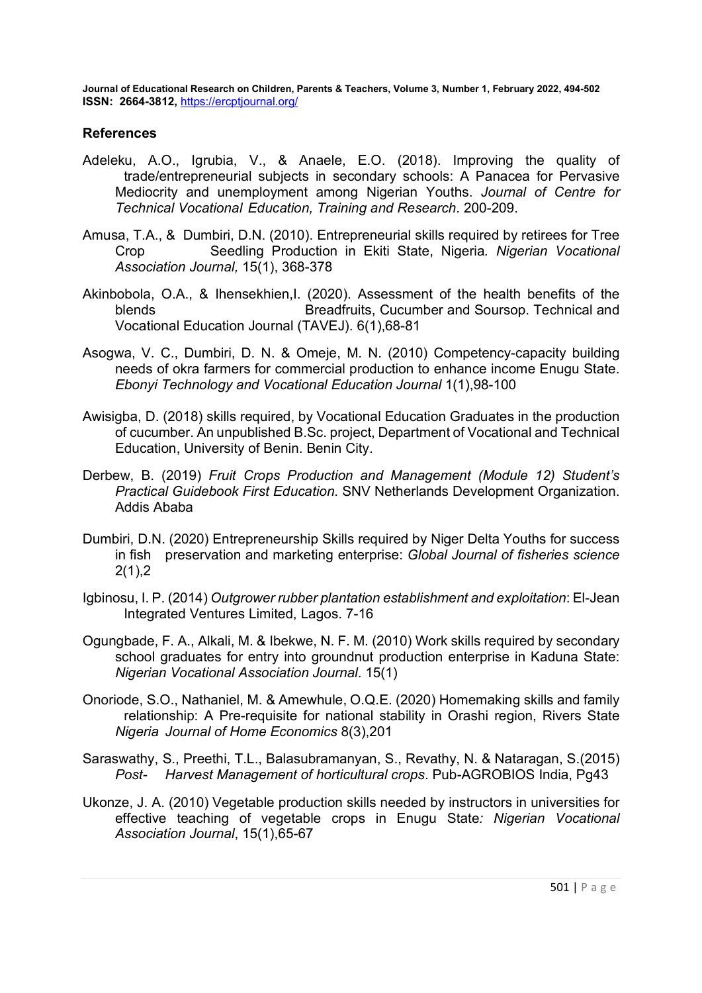#### **References**

- Adeleku, A.O., Igrubia, V., & Anaele, E.O. (2018). Improving the quality of trade/entrepreneurial subjects in secondary schools: A Panacea for Pervasive Mediocrity and unemployment among Nigerian Youths. Journal of Centre for Technical Vocational Education, Training and Research. 200-209.
- Amusa, T.A., & Dumbiri, D.N. (2010). Entrepreneurial skills required by retirees for Tree Crop Seedling Production in Ekiti State, Nigeria. Nigerian Vocational Association Journal, 15(1), 368-378
- Akinbobola, O.A., & Ihensekhien,I. (2020). Assessment of the health benefits of the blends Breadfruits, Cucumber and Soursop. Technical and Vocational Education Journal (TAVEJ). 6(1),68-81
- Asogwa, V. C., Dumbiri, D. N. & Omeje, M. N. (2010) Competency-capacity building needs of okra farmers for commercial production to enhance income Enugu State. Ebonyi Technology and Vocational Education Journal 1(1),98-100
- Awisigba, D. (2018) skills required, by Vocational Education Graduates in the production of cucumber. An unpublished B.Sc. project, Department of Vocational and Technical Education, University of Benin. Benin City.
- Derbew, B. (2019) Fruit Crops Production and Management (Module 12) Student's Practical Guidebook First Education. SNV Netherlands Development Organization. Addis Ababa
- Dumbiri, D.N. (2020) Entrepreneurship Skills required by Niger Delta Youths for success in fish preservation and marketing enterprise: Global Journal of fisheries science 2(1),2
- Igbinosu, I. P. (2014) Outgrower rubber plantation establishment and exploitation: El-Jean Integrated Ventures Limited, Lagos. 7-16
- Ogungbade, F. A., Alkali, M. & Ibekwe, N. F. M. (2010) Work skills required by secondary school graduates for entry into groundnut production enterprise in Kaduna State: Nigerian Vocational Association Journal. 15(1)
- Onoriode, S.O., Nathaniel, M. & Amewhule, O.Q.E. (2020) Homemaking skills and family relationship: A Pre-requisite for national stability in Orashi region, Rivers State Nigeria Journal of Home Economics 8(3),201
- Saraswathy, S., Preethi, T.L., Balasubramanyan, S., Revathy, N. & Nataragan, S.(2015) Post- Harvest Management of horticultural crops. Pub-AGROBIOS India, Pg43
- Ukonze, J. A. (2010) Vegetable production skills needed by instructors in universities for effective teaching of vegetable crops in Enugu State: Nigerian Vocational Association Journal, 15(1),65-67